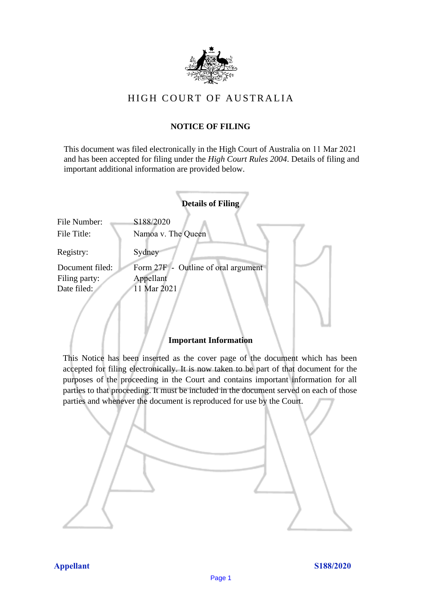

# HIGH COURT OF AU STRALIA HIGH COURT OF AUSTRALIA

### **NOTICE OF FILING** NOTICE OF FILING

This document was filed electronically in the High Court of Australia on 11 Mar 2021 and has been accepted for filing under the *High Court Rules 2004*. Details of filing and important additional information are provided below. important additional information are provided below.

|                             | <b>Details of Filing</b>            |
|-----------------------------|-------------------------------------|
| File Number:<br>File Title: | S188/2020<br>Namoa v. The Queen     |
| Registry:                   | Sydney                              |
| Document filed:             | Form 27F - Outline of oral argument |
| Filing party:               | Appellant                           |
| Date filed:                 | 11 Mar 2021                         |
|                             |                                     |

#### **Important Information** Important Information

This Notice has been inserted as the cover page of the document which has been accepted for filing electronically. It is now taken to be part of that document for the purposes of the proceeding in the Court and contains important information for all parties to that proceeding. It must be included in the document served on each of those parties and whenever the document is reproduced for use by the Court. parties and whenever the document is reproduced for use by the Court

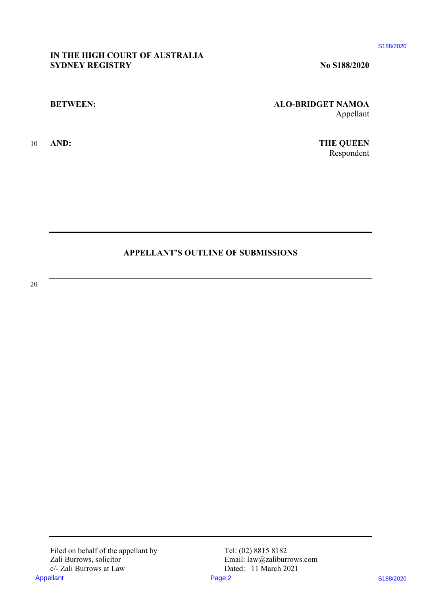\$188/2020

#### **IN THE HIGH COURT OF AUSTRALIA** IN THE HIGH COURT OF AUSTRALIA **SYDNEY REGISTRY No S188/2020** SYDNEY REGISTRY

#### BETWEEN:

<sup>10</sup> AND:

No 8188/2020

**BETWEEN: ALO-BRIDGET NAMOA** ALO-BRIDGET NAMOA Appellant Appellant

10 **AND: THE QUEEN** THE QUEEN Respondent Respondent

## **APPELLANT'S OUTLINE OF SUBMISSIONS** APPELLANT'S OUTLINE OF SUBMISSIONS

20 20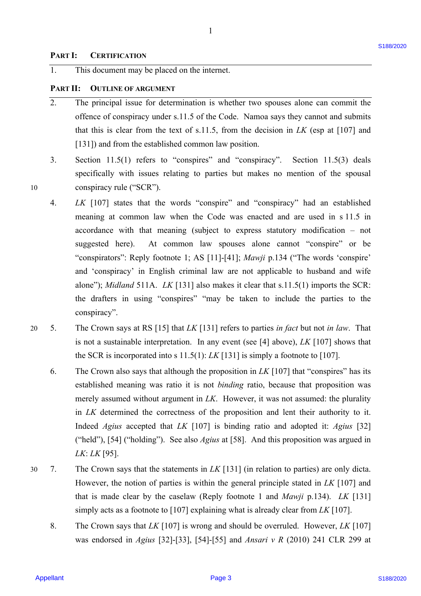10

1

#### **PART II: OUTLINE OF ARGUMENT** PART II: OUTLINE OF ARGUMENT

- 2. The principal issue for determination is whether two spouses alone can commit the The principal issue for determination is whether two spouses alone can commit the offence of conspiracy under s.11.5 of the Code. Namoa says they cannot and submits offence of conspiracy under s.11.5 of the Code. Namoa says they cannot and submits that this is clear from the text of s.11.5, from the decision in  $LK$  (esp at  $[107]$  and [131]) and from the established common law position. [131]) and from the established common law position. 2.
- 3. Section 11.5(1) refers to "conspires" and "conspiracy". Section 11.5(3) deals specifically with issues relating to parties but makes no mention of the spousal specifically with issues relating to parties but makes no mention of the spousal 10 conspiracy rule ("SCR"). conspiracy rule ("SCR").
- 4. *LK* [107] states that the words "conspire" and "conspiracy" had an established LK [107] states that the words "conspire" and "conspiracy" had an established meaning at common law when the Code was enacted and are used in s 11.5 in meaning at common law when the Code was enacted and are used in <sup>s</sup> 11.5 in accordance with that meaning (subject to express statutory modification – not accordance with that meaning (subject to express statutory modification — not suggested here). At common law spouses alone cannot "conspire" or be suggested here). At common law spouses alone cannot "conspire" or be "conspirators": Reply footnote 1; AS [11]-[41]; *Mawji* p.134 ("The words 'conspire' and 'conspiracy' in English criminal law are not applicable to husband and wife alone"); *Midland* 511A. *LK* [131] also makes it clear that s.11.5(1) imports the SCR: the drafters in using "conspires" "may be taken to include the parties to the conspiracy". conspiracy". **PART 1:** CLEUTERCATOR <sup>53</sup><br> **EVALUATE:** This absormed my be prefaced on the therefore.<br> **PART 11:** OUTLINE OF ARCHIVEY<br> **2.** The principal lanes for determination is whether two sponses above, our commit the other are co
- 20 5. The Crown says at RS [15] that *LK* [131] refers to parties *in fact* but not *in law*. That The Crown says at RS [15] that LK [131] refers to parties in fact but not in law. That is not a sustainable interpretation. In any event (see  $[4]$  above),  $LK$   $[107]$  shows that the SCR is incorporated into s  $11.5(1)$ : *LK* [131] is simply a footnote to [107]. 20 5.
	- 6. The Crown also says that although the proposition in  $LK$  [107] that "conspires" has its established meaning was ratio it is not *binding* ratio, because that proposition was established meaning was ratio it is not binding ratio, because that proposition was merely assumed without argument in *LK*. However, it was not assumed: the plurality in *LK* determined the correctness of the proposition and lent their authority to it. in LK determined the correctness of the proposition and lent their authority to it. Indeed *Agius* accepted that *LK* [107] is binding ratio and adopted it: *Agius* [32] Indeed Agius accepted that LK [107] is binding ratio and adopted it: Agius [32] ("held"), [54] ("holding"). See also *Agius* at [58]. And this proposition was argued in ("held"), [54] ("holding"). See also Agius at [58]. And this proposition was argued in *LK*: *LK* [95]. LK: LK [95].
- 30 7. The Crown says that the statements in  $LK$  [131] (in relation to parties) are only dicta. However, the notion of parties is within the general principle stated in *LK* [107] and However, the notion of parties is within the general principle stated in LK [107] and that is made clear by the caselaw (Reply footnote 1 and *Mawji* p.134). *LK* [131] that is made clear by the caselaw (Reply footnote <sup>1</sup> and Mawji p.134). LK [131] simply acts as a footnote to [107] explaining what is already clear from *LK* [107]. simply acts as a footnote to [107] explaining what is already clear from LK [107]. 30.— 7.
	- 8. The Crown says that *LK* [107] is wrong and should be overruled. However, *LK* [107] The Crown says that LK [107] is wrong and should be overruled. However, LK [107] was endorsed in *Agius* [32]-[33], [54]-[55] and *Ansari v R* (2010) 241 CLR 299 at was endorsed in Agius [32]-[33], [54]-[55] and Ansari v <sup>R</sup> (2010) 241 CLR 299 at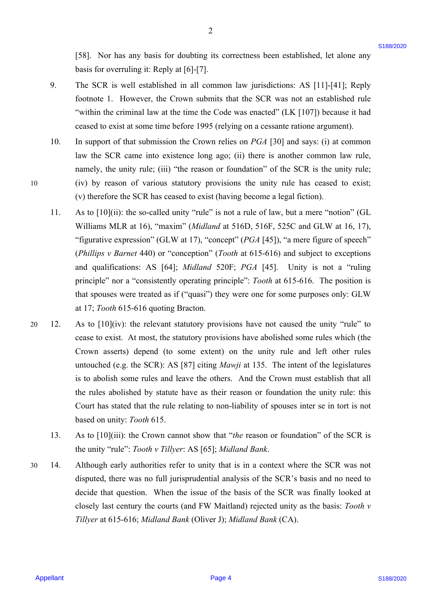[58]. Nor has any basis for doubting its correctness been established, let alone any [58]. Nor has any basis for doubting its correctness been established, let alone any basis for overruling it: Reply at [6]-[7]. basis for overruling it: Reply at [6]-[7].

9. The SCR is well established in all common law jurisdictions: AS [11]-[41]; Reply The SCR is well established in all common law jurisdictions: AS [11]-[41]; Reply footnote 1. However, the Crown submits that the SCR was not an established rule footnote 1. However, the Crown submits that the SCR was not an established rule "within the criminal law at the time the Code was enacted" (LK [107]) because it had ceased to exist at some time before 1995 (relying on a cessante ratione argument). ceased to exist at some time before 1995 (relying on a cessanteratione argument). 9.

2

- 10. In support of that submission the Crown relies on PGA [30] and says: (i) at common law the SCR came into existence long ago; (ii) there is another common law rule, law the SCR came into existence long ago; (ii) there is another common law rule, namely, the unity rule; (iii) "the reason or foundation" of the SCR is the unity rule; 10 (iv) by reason of various statutory provisions the unity rule has ceased to exist; (iv) by reason of various statutory provisions the unity rule has ceased to exist; (v) therefore the SCR has ceased to exist (having become a legal fiction). (v) therefore the SCR has ceased to exist (having become alegal fiction). 10.
	- 11. As to [10](ii): the so-called unity "rule" is not a rule of law, but a mere "notion" (GL As to [10](ii): the so-called unity "rule" is not a rule of law, but a mere "notion" (GL Williams MLR at 16), "maxim" (*Midland* at 516D, 516F, 525C and GLW at 16, 17), Williams MLR at 16), "maxim" (Midland at 516D, 516F, 525C and GLW at 16, 17), "figurative expression" (GLW at 17), "concept" (PGA [45]), "a mere figure of speech" (*Phillips v Barnet* 440) or "conception" (*Tooth* at 615-616) and subject to exceptions (Phillips v Barnet 440) or "conception" (Tooth at 615-616) and subject to exceptions and qualifications: AS [64]; *Midland* 520F; PGA [45]. Unity is not a "ruling principle" nor a "consistently operating principle": *Tooth* at 615-616. The position is that spouses were treated as if ("quasi") they were one for some purposes only: GLW that spouses were treated as if ("quasi") they were one for some purposes only: GLW at 17; *Tooth* 615-616 quoting Bracton. at 17; Tooth 615-616 quoting Bracton. 11.
- 20 12. As to [10](iv): the relevant statutory provisions have not caused the unity "rule" to As to [10](iv): the relevant statutory provisions have not caused the unity "rule" to cease to exist. At most, the statutory provisions have abolished some rules which (the cease to exist. At most, the statutory provisions have abolished some rules which (the Crown asserts) depend (to some extent) on the unity rule and left other rules Crown asserts) depend (to some extent) on the unity rule and left other rules untouched (e.g. the SCR): AS [87] citing *Mawji* at 135. The intent of the legislatures untouched (e.g. the SCR): AS [87] citing Mawji at 135. The intent of the legislatures is to abolish some rules and leave the others. And the Crown must establish that all is to abolish some rules and leave the others. And the Crown must establish that all the rules abolished by statute have as their reason or foundation the unity rule: this Court has stated that the rule relating to non-liability of spouses inter se in tort is not Court has stated that the rule relating to non-liability of spouses inter se in tort is not based on unity: *Tooth* 615. based on unity: Tooth 615. [53]. Not has any basis for doubting its correctness been estimations, let show any<br>
basis for overturing its Reply at [67]-17]. The SCR is well causalized in all common law junisdictions: AS [11]-[41]: Reply<br>
function is 20 12.
	- 13. As to [10](iii): the Crown cannot show that "*the* reason or foundation" of the SCR is the unity "rule": *Tooth v Tillyer*: AS [65]; *Midland Bank*. the unity "rule": Tooth v Tillyer: AS [65]; Midland Bank. 13.
- 30 14. Although early authorities refer to unity that is in a context where the SCR was not Although early authorities refer to unity that is in <sup>a</sup> context where the SCR was not disputed, there was no full jurisprudential analysis of the SCR's basis and no need to disputed, there was no full jurisprudential analysis of the SCR's basis and no need to decide that question. When the issue of the basis of the SCR was finally looked at decide that question. When the issue of the basis of the SCR was finally looked at closely last century the courts (and FW Maitland) rejected unity as the basis: *Tooth v*  closely last century the courts (and FW Maitland) rejected unity as the basis: Tooth v *Tillyer* at 615-616; *Midland Bank* (Oliver J); *Midland Bank* (CA). Tillyer at 615-616; Midland Bank (Oliver J); Midland Bank (CA). 30 14.